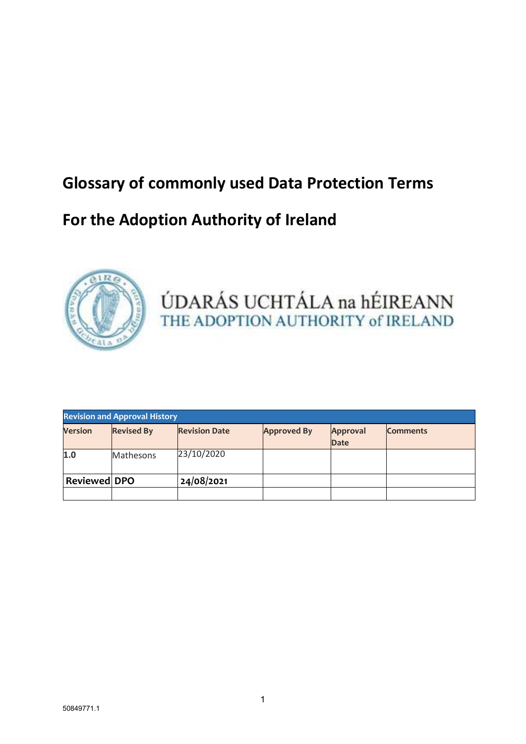## **Glossary of commonly used Data Protection Terms**

### **For the Adoption Authority of Ireland**



# ÚDARÁS UCHTÁLA na hÉIREANN THE ADOPTION AUTHORITY of IRELAND

| <b>Revision and Approval History</b> |                   |                      |                    |                         |                 |  |
|--------------------------------------|-------------------|----------------------|--------------------|-------------------------|-----------------|--|
| <b>Version</b>                       | <b>Revised By</b> | <b>Revision Date</b> | <b>Approved By</b> | Approval<br><b>Date</b> | <b>Comments</b> |  |
| 1.0                                  | Mathesons         | 23/10/2020           |                    |                         |                 |  |
| <b>Reviewed DPO</b>                  |                   | 24/08/2021           |                    |                         |                 |  |
|                                      |                   |                      |                    |                         |                 |  |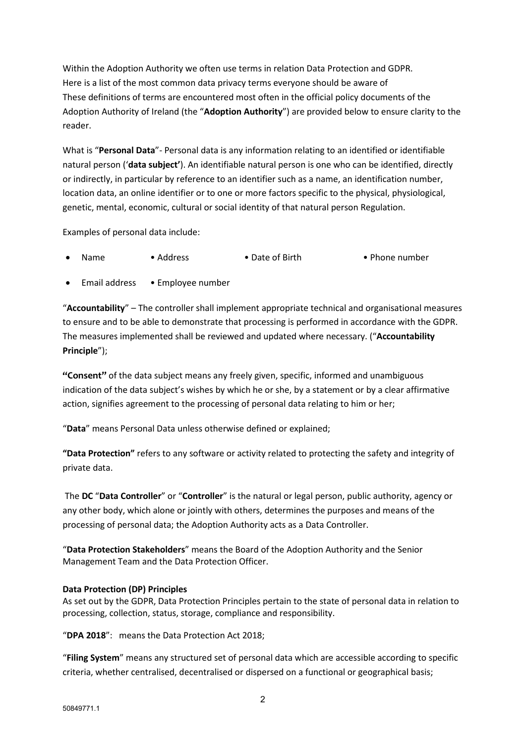Within the Adoption Authority we often use terms in relation Data Protection and GDPR. Here is a list of the most common data privacy terms everyone should be aware of These definitions of terms are encountered most often in the official policy documents of the Adoption Authority of Ireland (the "**Adoption Authority**") are provided below to ensure clarity to the reader.

What is "**Personal Data**"- Personal data is any information relating to an identified or identifiable natural person ('**data subject'**). An identifiable natural person is one who can be identified, directly or indirectly, in particular by reference to an identifier such as a name, an identification number, location data, an online identifier or to one or more factors specific to the physical, physiological, genetic, mental, economic, cultural or social identity of that natural person Regulation.

Examples of personal data include:

- Name Address Date of Birth Phone number
- Email address Employee number

"**Accountability**" – The controller shall implement appropriate technical and organisational measures to ensure and to be able to demonstrate that processing is performed in accordance with the GDPR. The measures implemented shall be reviewed and updated where necessary. ("**Accountability Principle**");

**"Consent"** of the data subject means any freely given, specific, informed and unambiguous indication of the data subject's wishes by which he or she, by a statement or by a clear affirmative action, signifies agreement to the processing of personal data relating to him or her;

"**Data**" means Personal Data unless otherwise defined or explained;

**"Data Protection"** refers to any software or activity related to protecting the safety and integrity of private data.

 The **DC** "**Data Controller**" or "**Controller**" is the natural or legal person, public authority, agency or any other body, which alone or jointly with others, determines the purposes and means of the processing of personal data; the Adoption Authority acts as a Data Controller.

"**Data Protection Stakeholders**" means the Board of the Adoption Authority and the Senior Management Team and the Data Protection Officer.

#### **Data Protection (DP) Principles**

As set out by the GDPR, Data Protection Principles pertain to the state of personal data in relation to processing, collection, status, storage, compliance and responsibility.

"**DPA 2018**": means the Data Protection Act 2018;

"**Filing System**" means any structured set of personal data which are accessible according to specific criteria, whether centralised, decentralised or dispersed on a functional or geographical basis;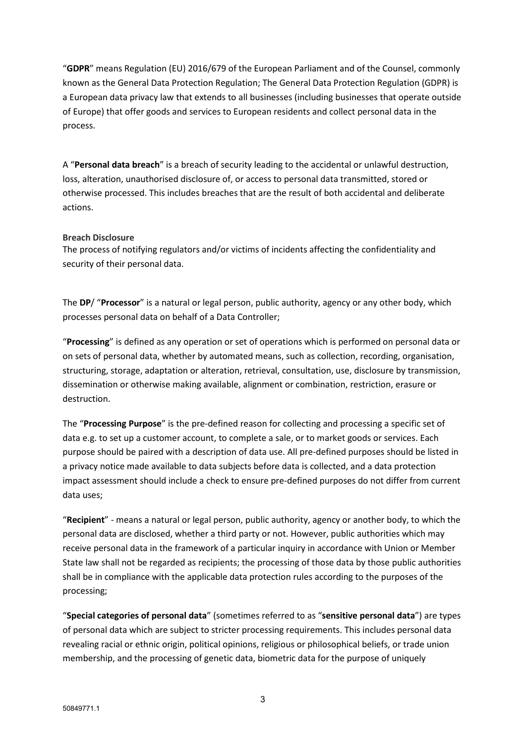"**GDPR**" means Regulation (EU) 2016/679 of the European Parliament and of the Counsel, commonly known as the General Data Protection Regulation; The General Data Protection Regulation (GDPR) is a European data privacy law that extends to all businesses (including businesses that operate outside of Europe) that offer goods and services to European residents and collect personal data in the process.

A "**Personal data breach**" is a breach of security leading to the accidental or unlawful destruction, loss, alteration, unauthorised disclosure of, or access to personal data transmitted, stored or otherwise processed. This includes breaches that are the result of both accidental and deliberate actions.

#### **Breach Disclosure**

The process of notifying regulators and/or victims of incidents affecting the confidentiality and security of their personal data.

The **DP**/ "**Processor**" is a natural or legal person, public authority, agency or any other body, which processes personal data on behalf of a Data Controller;

"**Processing**" is defined as any operation or set of operations which is performed on personal data or on sets of personal data, whether by automated means, such as collection, recording, organisation, structuring, storage, adaptation or alteration, retrieval, consultation, use, disclosure by transmission, dissemination or otherwise making available, alignment or combination, restriction, erasure or destruction.

The "**Processing Purpose**" is the pre-defined reason for collecting and processing a specific set of data e.g. to set up a customer account, to complete a sale, or to market goods or services. Each purpose should be paired with a description of data use. All pre-defined purposes should be listed in a privacy notice made available to data subjects before data is collected, and a data protection impact assessment should include a check to ensure pre-defined purposes do not differ from current data uses;

"**Recipient**" - means a natural or legal person, public authority, agency or another body, to which the personal data are disclosed, whether a third party or not. However, public authorities which may receive personal data in the framework of a particular inquiry in accordance with Union or Member State law shall not be regarded as recipients; the processing of those data by those public authorities shall be in compliance with the applicable data protection rules according to the purposes of the processing;

"**Special categories of personal data**" (sometimes referred to as "**sensitive personal data**") are types of personal data which are subject to stricter processing requirements. This includes personal data revealing racial or ethnic origin, political opinions, religious or philosophical beliefs, or trade union membership, and the processing of genetic data, biometric data for the purpose of uniquely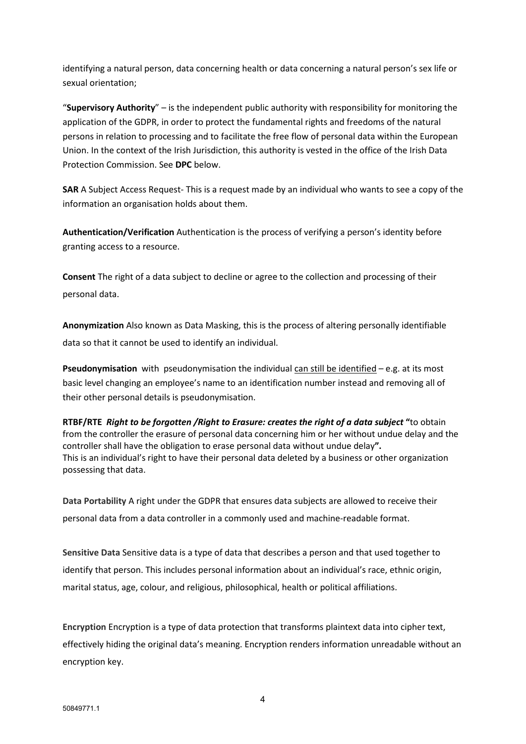identifying a natural person, data concerning health or data concerning a natural person's sex life or sexual orientation;

"**Supervisory Authority**" – is the independent public authority with responsibility for monitoring the application of the GDPR, in order to protect the fundamental rights and freedoms of the natural persons in relation to processing and to facilitate the free flow of personal data within the European Union. In the context of the Irish Jurisdiction, this authority is vested in the office of the Irish Data Protection Commission. See **DPC** below.

**SAR** A Subject Access Request- This is a request made by an individual who wants to see a copy of the information an organisation holds about them.

**Authentication/Verification** Authentication is the process of verifying a person's identity before granting access to a resource.

**Consent** The right of a data subject to decline or agree to the collection and processing of their personal data.

**Anonymization** Also known as Data Masking, this is the process of altering personally identifiable data so that it cannot be used to identify an individual.

**Pseudonymisation** with pseudonymisation the individual can still be identified – e.g. at its most basic level changing an employee's name to an identification number instead and removing all of their other personal details is pseudonymisation.

**RTBF/RTE** *Right to be forgotten /Right to Erasure: creates the right of a data subject* **"**to obtain from the controller the erasure of personal data concerning him or her without undue delay and the controller shall have the obligation to erase personal data without undue delay**".**  This is an individual's right to have their personal data deleted by a business or other organization possessing that data.

**Data Portability** A right under the GDPR that ensures data subjects are allowed to receive their personal data from a data controller in a commonly used and machine-readable format.

**Sensitive Data** Sensitive data is a type of data that describes a person and that used together to identify that person. This includes personal information about an individual's race, ethnic origin, marital status, age, colour, and religious, philosophical, health or political affiliations.

**Encryption** Encryption is a type of data protection that transforms plaintext data into cipher text, effectively hiding the original data's meaning. Encryption renders information unreadable without an encryption key.